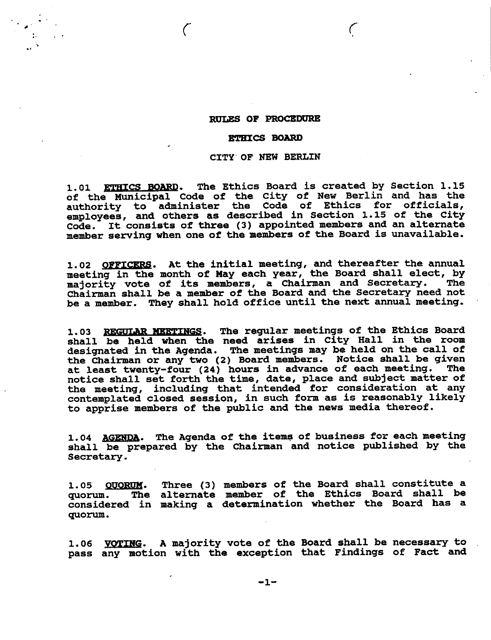# **RULES OF PROCEDURE**

## **ETHICS BOARD**

## CITY OF NEW BERLIN

ETHICS BOARD. The Ethics Board is created by Section 1.15  $1.01$ of the Municipal Code of the City of New Berlin and has the<br>authority to administer the Code of Ethics for officials,<br>employees, and others as described in Section 1.15 of the City code. It consists of three (3) appointed members and an alternate member serving when one of the members of the Board is unavailable.

1.02 OFFICERS. At the initial meeting, and thereafter the annual meeting in the month of May each year, the Board shall elect, by majority vote of its members, a Chairman and Secretary. The Chairman shall be a member of the Board and the Secretary need not be a member. They shall hold office until the next annual meeting.

1.03 REGULAR MEETINGS. The regular meetings of the Ethics Board shall be held when the need arises in City Hall in the room designated in the Agenda. The meetings may be held on the call of the Chairman or any two (2) Board members. Notice shall be given at least twenty-four (24) hours in advance of each meeting. **The** notice shall set forth the time, date, place and subject matter of<br>the meeting, including that intended for consideration at any<br>contemplated closed session, in such form as is reasonably likely to apprise members of the public and the news media thereof.

1.04 AGENDA. The Agenda of the items of business for each meeting shall be prepared by the Chairman and notice published by the Secretary.

1.05 QUORUM. Three (3) members of the Board shall constitute a quorum. The alternate member of the Ethics Board shall be considered in making a determination whether the Board has a quorum.

1.06 VOTING. A majority vote of the Board shall be necessary to pass any motion with the exception that Findings of Fact and

 $-1-$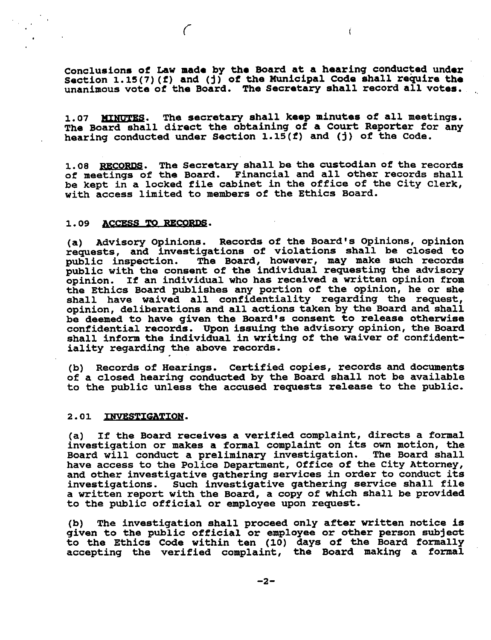Conclusions of Law made by the Board at a hearing conducted under Section 1.15(7)(f) and (j) of the Municipal Code shall require the unanimous vote of the Board. The Secretary shall record all votes.

The secretary shall keep minutes of all meetings. **1.07 MINUTES.** The Board shall direct the obtaining of a Court Reporter for any hearing conducted under Section 1.15(f) and (j) of the Code.

1.08 RECORDS. The Secretary shall be the custodian of the records of meetings of the Board. Financial and all other records shall be kept in a locked file cabinet in the office of the City Clerk, with access limited to members of the Ethics Board.

#### ACCESS TO RECORDS.  $1.09$

 $\sqrt{ }$ 

(a) Advisory Opinions. Records of the Board's Opinions, opinion requests, and investigations of violations shall be closed to public inspection. The Board, however, may make such records public with the consent of the indi opinion. If an individual who has received a written opinion from the Ethics Board publishes any portion of the opinion, he or she shall have waived all confidentiality regarding the request, opinion, deliberations and all actions taken by the Board and shall be deemed to have given the Board's consent to release otherwise confidential records. Upon issuing the advisory opinion, the Board shall inform the individual in writing of the waiver of confidentiality regarding the above records.

(b) Records of Hearings. Certified copies, records and documents of a closed hearing conducted by the Board shall not be available to the public unless the accused requests release to the public.

### 2.01 INVESTIGATION.

(a) If the Board receives a verified complaint, directs a formal investigation or makes a formal complaint on its own motion, the Board will conduct a preliminary investigation. The Board shall have access to the Police Department, Office of the City Attorney, and other investigative gathering services in order to conduct its investigations. Such investigative gathering service shall file a written report with the Board, a copy of which shall be provided to the public official or employee upon request.

The investigation shall proceed only after written notice is  $(b)$ given to the public official or employee or other person subject<br>to the Ethics Code within ten (10) days of the Board formally accepting the verified complaint, the Board making a formal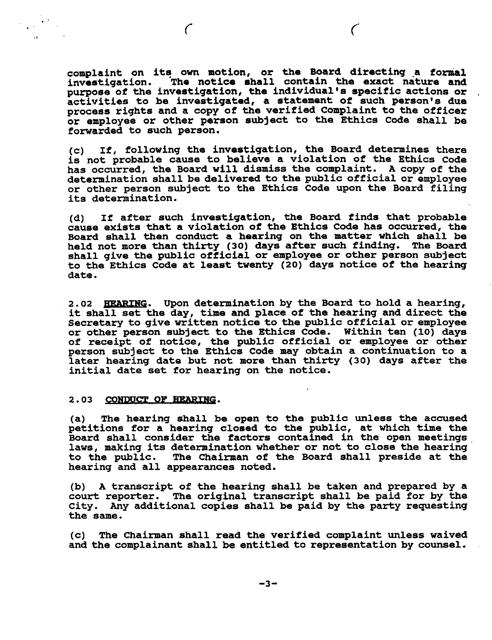complaint on its own motion, or the Board directing a formal<br>investigation. The notice shall contain the exact nature and purpose of the investigation, the individual's specific actions or activities to be investigated, a statement of such person's due process rights and a copy of the verified Complaint to the officer or employee or other person subject to the Ethics Code shall be forwarded to such person.

 $\mathcal{C}_{\mathcal{C}}$ 

If, following the investigation, the Board determines there  $(c)$ is not probable cause to believe a violation of the Ethics Code has occurred, the Board will dismiss the complaint. A copy of the determination shall be delivered to the public official or employee or other person subject to the Ethics Code upon the Board filing its determination.

(d) If after such investigation, the Board finds that probable cause exists that a violation of the Ethics Code has occurred, the Board shall then conduct a hearing on the matter which shall be held not more than thirty (30) days after such finding. The Board shall give the public official or employee or other person subject to the Ethics Code at least twenty (20) days notice of the hearing date.

2.02 HEARING. Upon determination by the Board to hold a hearing, it shall set the day, time and place of the hearing and direct the Secretary to give written notice to the public official or employee or other person subject to the Ethics Code. Within ten (10) days<br>of receipt of notice, the public official or employee or other<br>person subject to the Ethics Code may obtain a continuation to a later hearing date but not more than thirty (30) days after the initial date set for hearing on the notice.

#### $2.03$ CONDUCT OF HEARING.

The hearing shall be open to the public unless the accused  $(a)$ petitions for a hearing closed to the public, at which time the Board shall consider the factors contained in the open meetings laws, making its determination whether or not to close the hearing The Chairman of the Board shall preside at the to the public. hearing and all appearances noted.

(b) A transcript of the hearing shall be taken and prepared by a court reporter. The original transcript shall be paid for by the City. Any additional copies shall be paid by the party requesting the same.

The Chairman shall read the verified complaint unless waived  $(C)$ and the complainant shall be entitled to representation by counsel.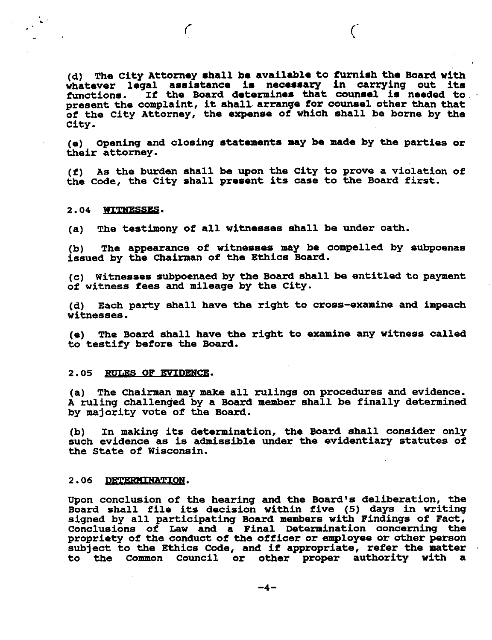(d) The City Attorney shall be available to furnish the Board with whatever legal assistance is necessary in carrying out its functions. If the Board determines that counsel is needed to present the complaint, it shall arrange for counsel other than that of the City Attorney, the expense of which shall be borne by the City.

 $\mathcal{C}$ 

(e) Opening and closing statements may be made by the parties or their attorney.

(f) As the burden shall be upon the City to prove a violation of the Code, the City shall present its case to the Board first.

### 2.04 WITNESSES.

The testimony of all witnesses shall be under oath.  $(a)$ 

 $\big($ 

The appearance of witnesses may be compelled by subpoenas  $(b)$ issued by the Chairman of the Ethics Board.

(c) Witnesses subpoenaed by the Board shall be entitled to payment of witness fees and mileage by the City.

(d) Each party shall have the right to cross-examine and impeach witnesses.

(e) The Board shall have the right to examine any witness called to testify before the Board.

#### 2.05 RULES OF EVIDENCE.

(a) The Chairman may make all rulings on procedures and evidence. A ruling challenged by a Board member shall be finally determined by majority vote of the Board.

In making its determination, the Board shall consider only (b) such evidence as is admissible under the evidentiary statutes of the State of Wisconsin.

#### 2.06 DETERMINATION.

Upon conclusion of the hearing and the Board's deliberation, the Board shall file its decision within five (5) days in writing signed by all participating Board members with Findings of Fact, Conclusions of Law and a Final Determination concerning the propriety of the conduct of the officer or employee or other person subject to the Ethics Code, and if appropriate, refer the matter to the Common Council or other proper authority with a

 $-4-$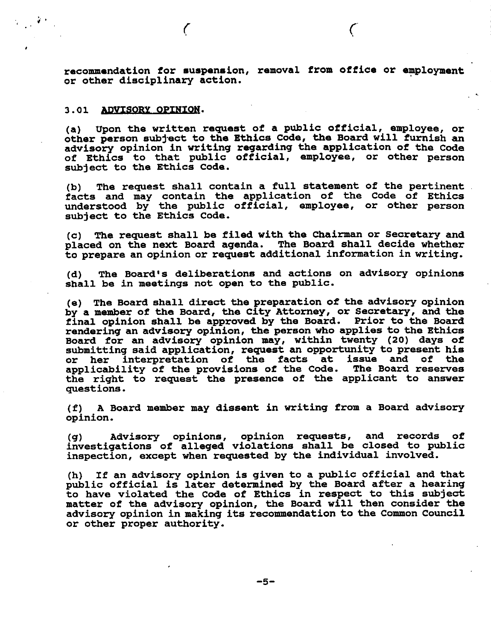recommendation for suspension, removal from office or employment or other disciplinary action.

# 3.01 ADVISORY OPINION.

 $\epsilon$ 

(a) Upon the written request of a public official, employee, or other person subject to the Ethics Code, the Board will furnish an advisory opinion in writing regarding the application of the Code of Ethics to that public official, employee, or other person subject to the Ethics Code.

The request shall contain a full statement of the pertinent (b) facts and may contain the application of the Code of Ethics<br>understood by the public official, employee, or other person subject to the Ethics Code.

The request shall be filed with the Chairman or Secretary and  $\mathbf{(c)}$ placed on the next Board agenda. The Board shall decide whether to prepare an opinion or request additional information in writing.

The Board's deliberations and actions on advisory opinions (d) shall be in meetings not open to the public.

(e) The Board shall direct the preparation of the advisory opinion by a member of the Board, the City Attorney, or Secretary, and the final opinion shall be approved by the Board. Prior to the Board rendering an advisory opinion, the person who applies to the Ethics Board for an advisory opinion may, within twenty (20) days of submitting said application, request an opportunity to present his<br>or her interpretation of the facts at issue and of the applicability of the provisions of the Code. The Board reserves the right to request the presence of the applicant to answer questions.

A Board member may dissent in writing from a Board advisory (f) = opinion.

Advisory opinions, opinion requests, and records of  $(q)$ investigations of alleged violations shall be closed to public inspection, except when requested by the individual involved.

(h) If an advisory opinion is given to a public official and that<br>public official is later determined by the Board after a hearing to have violated the Code of Ethics in respect to this subject matter of the advisory opinion, the Board will then consider the advisory opinion in making its recommendation to the Common Council or other proper authority.